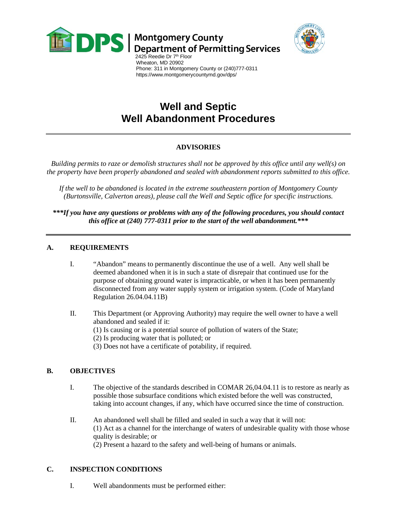



 Wheaton, MD 20902 Phone: 311 in Montgomery County or (240)777-0311 https://www.montgomerycountymd.gov/dps/

# **Well and Septic Well Abandonment Procedures**

# **ADVISORIES**

*Building permits to raze or demolish structures shall not be approved by this office until any well(s) on the property have been properly abandoned and sealed with abandonment reports submitted to this office.*

*If the well to be abandoned is located in the extreme southeastern portion of Montgomery County (Burtonsville, Calverton areas), please call the Well and Septic office for specific instructions.*

*\*\*\*If you have any questions or problems with any of the following procedures, you should contact this office at (240) 777-0311 prior to the start of the well abandonment.\*\*\**

#### **A. REQUIREMENTS**

- I. "Abandon" means to permanently discontinue the use of a well. Any well shall be deemed abandoned when it is in such a state of disrepair that continued use for the purpose of obtaining ground water is impracticable, or when it has been permanently disconnected from any water supply system or irrigation system. (Code of Maryland Regulation 26.04.04.11B)
- II. This Department (or Approving Authority) may require the well owner to have a well abandoned and sealed if it:
	- (1) Is causing or is a potential source of pollution of waters of the State;
	- (2) Is producing water that is polluted; or
	- (3) Does not have a certificate of potability, if required.

# **B. OBJECTIVES**

- I. The objective of the standards described in COMAR 26,04.04.11 is to restore as nearly as possible those subsurface conditions which existed before the well was constructed, taking into account changes, if any, which have occurred since the time of construction.
- II. An abandoned well shall be filled and sealed in such a way that it will not: (1) Act as a channel for the interchange of waters of undesirable quality with those whose quality is desirable; or (2) Present a hazard to the safety and well-being of humans or animals.

# **C. INSPECTION CONDITIONS**

I. Well abandonments must be performed either: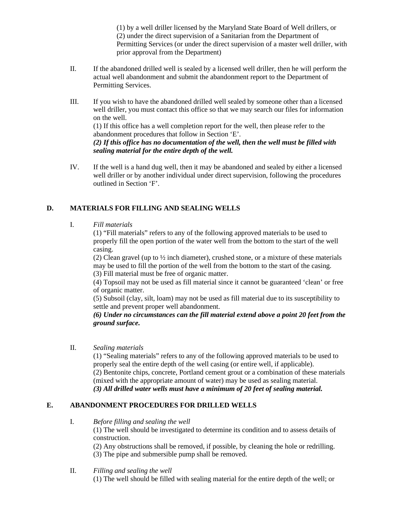(1) by a well driller licensed by the Maryland State Board of Well drillers, or (2) under the direct supervision of a Sanitarian from the Department of Permitting Services (or under the direct supervision of a master well driller, with prior approval from the Department)

- II. If the abandoned drilled well is sealed by a licensed well driller, then he will perform the actual well abandonment and submit the abandonment report to the Department of Permitting Services.
- III. If you wish to have the abandoned drilled well sealed by someone other than a licensed well driller, you must contact this office so that we may search our files for information on the well. (1) If this office has a well completion report for the well, then please refer to the

abandonment procedures that follow in Section 'E'. *(2) If this office has no documentation of the well, then the well must be filled with sealing material for the entire depth of the well.*

IV. If the well is a hand dug well, then it may be abandoned and sealed by either a licensed well driller or by another individual under direct supervision, following the procedures outlined in Section 'F'.

# **D. MATERIALS FOR FILLING AND SEALING WELLS**

#### I. *Fill materials*

(1) "Fill materials" refers to any of the following approved materials to be used to properly fill the open portion of the water well from the bottom to the start of the well casing.

(2) Clean gravel (up to  $\frac{1}{2}$  inch diameter), crushed stone, or a mixture of these materials may be used to fill the portion of the well from the bottom to the start of the casing. (3) Fill material must be free of organic matter.

(4) Topsoil may not be used as fill material since it cannot be guaranteed 'clean' or free of organic matter.

(5) Subsoil (clay, silt, loam) may not be used as fill material due to its susceptibility to settle and prevent proper well abandonment.

#### *(6) Under no circumstances can the fill material extend above a point 20 feet from the ground surface.*

II. *Sealing materials*

(1) "Sealing materials" refers to any of the following approved materials to be used to properly seal the entire depth of the well casing (or entire well, if applicable). (2) Bentonite chips, concrete, Portland cement grout or a combination of these materials (mixed with the appropriate amount of water) may be used as sealing material. *(3) All drilled water wells must have a minimum of 20 feet of sealing material.*

# **E. ABANDONMENT PROCEDURES FOR DRILLED WELLS**

I. *Before filling and sealing the well*

(1) The well should be investigated to determine its condition and to assess details of construction.

(2) Any obstructions shall be removed, if possible, by cleaning the hole or redrilling. (3) The pipe and submersible pump shall be removed.

II. *Filling and sealing the well* (1) The well should be filled with sealing material for the entire depth of the well; or